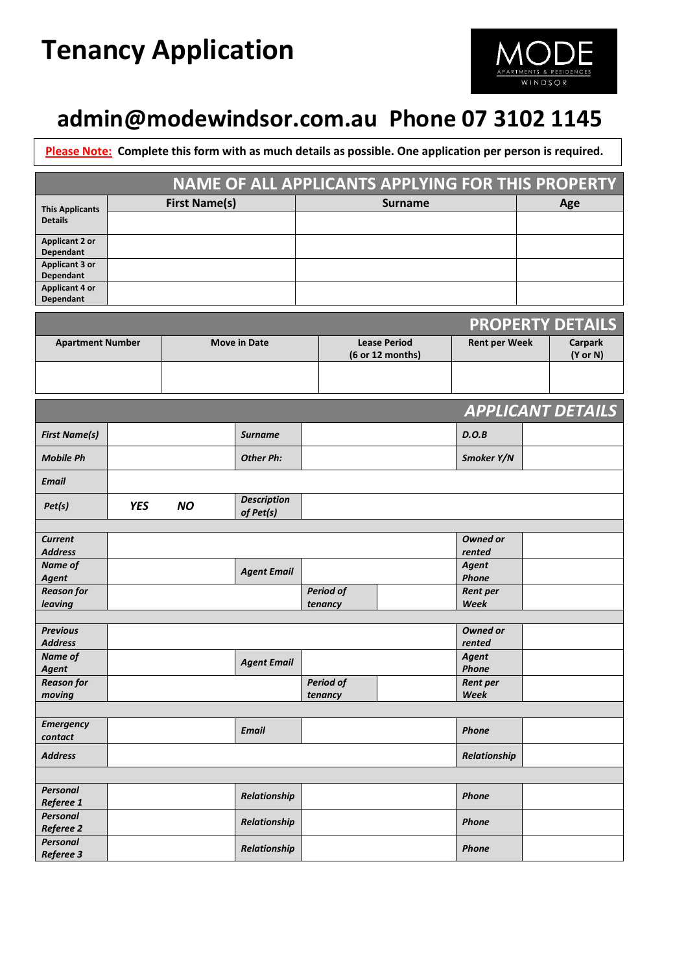# **Tenancy Application**



# **[admin@modewindsor.com.au](mailto:admin@modewindsor.com.au) Phone 07 3102 1145**

**Please Note: Complete this form with as much details as possible. One application per person is required.**

|                                           |            |           |                                 |                             |  | NAME OF ALL APPLICANTS APPLYING FOR THIS PROPERTY |                          |          |                          |  |
|-------------------------------------------|------------|-----------|---------------------------------|-----------------------------|--|---------------------------------------------------|--------------------------|----------|--------------------------|--|
| <b>This Applicants</b>                    |            |           |                                 | <b>Surname</b>              |  |                                                   | Age                      |          |                          |  |
| <b>Details</b>                            |            |           |                                 |                             |  |                                                   |                          |          |                          |  |
| <b>Applicant 2 or</b><br>Dependant        |            |           |                                 |                             |  |                                                   |                          |          |                          |  |
| <b>Applicant 3 or</b><br><b>Dependant</b> |            |           |                                 |                             |  |                                                   |                          |          |                          |  |
| <b>Applicant 4 or</b><br>Dependant        |            |           |                                 |                             |  |                                                   |                          |          |                          |  |
|                                           |            |           |                                 |                             |  |                                                   |                          |          | <b>PROPERTY DETAILS</b>  |  |
| <b>Apartment Number</b>                   |            |           | <b>Move in Date</b>             |                             |  | <b>Lease Period</b>                               | <b>Rent per Week</b>     |          | <b>Carpark</b>           |  |
|                                           |            |           |                                 | (6 or 12 months)            |  |                                                   |                          | (Y or N) |                          |  |
|                                           |            |           |                                 |                             |  |                                                   |                          |          |                          |  |
|                                           |            |           |                                 |                             |  |                                                   |                          |          | <b>APPLICANT DETAILS</b> |  |
| <b>First Name(s)</b>                      |            |           | <b>Surname</b>                  |                             |  |                                                   | D.O.B                    |          |                          |  |
| <b>Mobile Ph</b>                          |            |           | <b>Other Ph:</b>                |                             |  |                                                   | Smoker Y/N               |          |                          |  |
| <b>Email</b>                              |            |           |                                 |                             |  |                                                   |                          |          |                          |  |
| Pet(s)                                    | <b>YES</b> | <b>NO</b> | <b>Description</b><br>of Pet(s) |                             |  |                                                   |                          |          |                          |  |
| <b>Current</b>                            |            |           |                                 |                             |  |                                                   | <b>Owned or</b>          |          |                          |  |
| <b>Address</b>                            |            |           |                                 |                             |  |                                                   | rented                   |          |                          |  |
| Name of                                   |            |           | <b>Agent Email</b>              |                             |  |                                                   | <b>Agent</b>             |          |                          |  |
| Agent                                     |            |           |                                 |                             |  |                                                   | Phone                    |          |                          |  |
| <b>Reason for</b><br>leaving              |            |           |                                 | <b>Period of</b><br>tenancy |  |                                                   | <b>Rent per</b><br>Week  |          |                          |  |
|                                           |            |           |                                 |                             |  |                                                   |                          |          |                          |  |
| <b>Previous</b>                           |            |           |                                 |                             |  |                                                   | Owned or                 |          |                          |  |
| <b>Address</b>                            |            |           |                                 |                             |  |                                                   | rented                   |          |                          |  |
| Name of                                   |            |           | <b>Agent Email</b>              |                             |  |                                                   | Agent                    |          |                          |  |
| Agent<br><b>Reason for</b>                |            |           |                                 | <b>Period of</b>            |  |                                                   | Phone<br><b>Rent per</b> |          |                          |  |
| moving                                    |            |           |                                 | tenancy                     |  |                                                   | Week                     |          |                          |  |
|                                           |            |           |                                 |                             |  |                                                   |                          |          |                          |  |
| <b>Emergency</b><br>contact               |            |           | <b>Email</b>                    |                             |  |                                                   | Phone                    |          |                          |  |
| <b>Address</b>                            |            |           |                                 |                             |  |                                                   | Relationship             |          |                          |  |
|                                           |            |           |                                 |                             |  |                                                   |                          |          |                          |  |
| <b>Personal</b>                           |            |           | Relationship                    |                             |  |                                                   | Phone                    |          |                          |  |
| Referee 1                                 |            |           |                                 |                             |  |                                                   |                          |          |                          |  |
| Personal<br>Referee 2                     |            |           | Relationship                    |                             |  |                                                   | Phone                    |          |                          |  |
| <b>Personal</b><br>Referee 3              |            |           | Relationship                    |                             |  |                                                   | Phone                    |          |                          |  |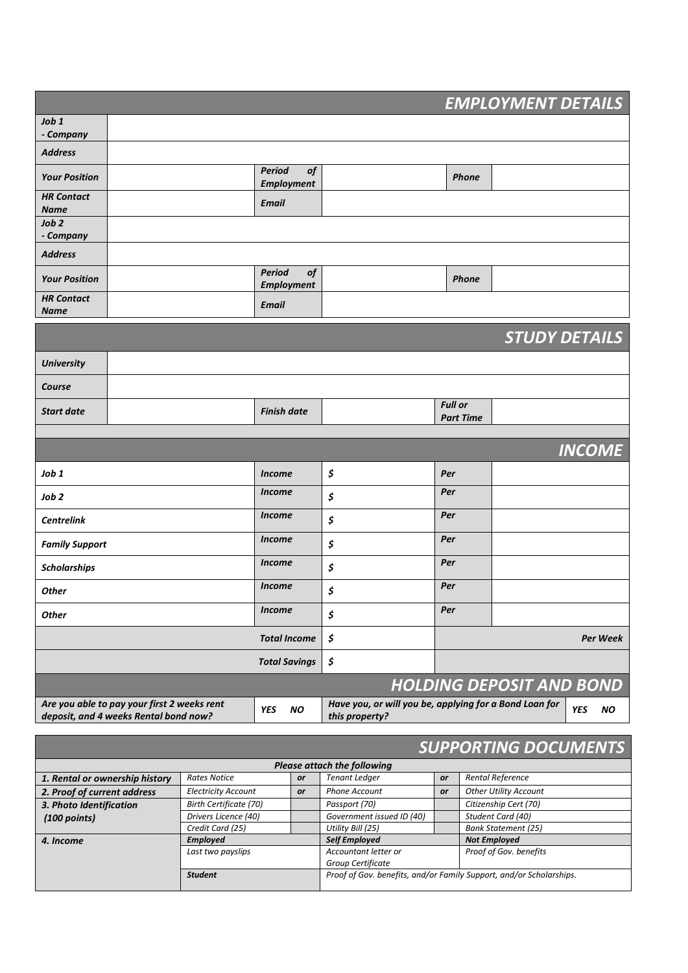|                                                                                      |                            |                                    |                      |                                                                          |                | <b>EMPLOYMENT DETAILS</b>       |  |  |  |
|--------------------------------------------------------------------------------------|----------------------------|------------------------------------|----------------------|--------------------------------------------------------------------------|----------------|---------------------------------|--|--|--|
| Job 1<br>- Company                                                                   |                            |                                    |                      |                                                                          |                |                                 |  |  |  |
| <b>Address</b>                                                                       |                            |                                    |                      |                                                                          |                |                                 |  |  |  |
| <b>Your Position</b>                                                                 |                            | <b>Period</b><br><b>Employment</b> | <b>of</b>            |                                                                          |                | <b>Phone</b>                    |  |  |  |
| <b>HR Contact</b><br><b>Name</b>                                                     |                            | <b>Email</b>                       |                      |                                                                          |                |                                 |  |  |  |
| Job 2<br>- Company                                                                   |                            |                                    |                      |                                                                          |                |                                 |  |  |  |
| <b>Address</b>                                                                       |                            |                                    |                      |                                                                          |                |                                 |  |  |  |
| <b>Your Position</b>                                                                 |                            | Period<br><b>Employment</b>        | <b>of</b>            |                                                                          |                | <b>Phone</b>                    |  |  |  |
| <b>HR Contact</b><br><b>Name</b>                                                     |                            | <b>Email</b>                       |                      |                                                                          |                |                                 |  |  |  |
|                                                                                      |                            |                                    |                      |                                                                          |                | <b>STUDY DETAILS</b>            |  |  |  |
|                                                                                      |                            |                                    |                      |                                                                          |                |                                 |  |  |  |
| <b>University</b>                                                                    |                            |                                    |                      |                                                                          |                |                                 |  |  |  |
| Course                                                                               |                            |                                    |                      |                                                                          | <b>Full or</b> |                                 |  |  |  |
| <b>Start date</b>                                                                    |                            | <b>Finish date</b>                 |                      |                                                                          |                | <b>Part Time</b>                |  |  |  |
|                                                                                      |                            |                                    |                      |                                                                          |                |                                 |  |  |  |
|                                                                                      |                            |                                    |                      |                                                                          |                | <b>INCOME</b>                   |  |  |  |
| Job 1                                                                                |                            | <b>Income</b>                      |                      | \$                                                                       | Per            |                                 |  |  |  |
| Job <sub>2</sub>                                                                     | <b>Income</b>              |                                    | \$                   | Per                                                                      |                |                                 |  |  |  |
| <b>Centrelink</b>                                                                    |                            | <b>Income</b>                      |                      | \$                                                                       | Per            |                                 |  |  |  |
| <b>Family Support</b>                                                                | <b>Income</b>              |                                    | \$                   | Per                                                                      |                |                                 |  |  |  |
| <b>Scholarships</b>                                                                  | <b>Income</b>              |                                    | \$                   | Per                                                                      |                |                                 |  |  |  |
| <b>Other</b>                                                                         | <i>Income</i>              |                                    | \$                   | Per                                                                      |                |                                 |  |  |  |
| <b>Other</b>                                                                         | <b>Income</b>              |                                    | \$                   | Per                                                                      |                |                                 |  |  |  |
|                                                                                      |                            | <b>Total Income</b>                |                      | \$                                                                       |                | Per Week                        |  |  |  |
|                                                                                      | <b>Total Savings</b>       |                                    | \$                   |                                                                          |                |                                 |  |  |  |
|                                                                                      |                            |                                    |                      |                                                                          |                | <b>HOLDING DEPOSIT AND BOND</b> |  |  |  |
| Are you able to pay your first 2 weeks rent<br>deposit, and 4 weeks Rental bond now? |                            | <b>YES</b>                         | NO.                  | Have you, or will you be, applying for a Bond Loan for<br>this property? |                | <b>YES</b><br><b>NO</b>         |  |  |  |
|                                                                                      |                            |                                    |                      |                                                                          |                |                                 |  |  |  |
| <b>SUPPORTING DOCUMENTS</b><br><b>Please attach the following</b>                    |                            |                                    |                      |                                                                          |                |                                 |  |  |  |
| 1. Rental or ownership history                                                       | <b>Rates Notice</b>        |                                    | <b>Tenant Ledger</b> | Rental Reference<br>or                                                   |                |                                 |  |  |  |
| 2. Proof of current address                                                          | <b>Electricity Account</b> |                                    | or<br>or             | <b>Phone Account</b>                                                     | or             | Other Utility Account           |  |  |  |
| Birth Certificate (70)<br>3. Photo Identification                                    |                            |                                    |                      | Passport (70)                                                            |                | Citizenship Cert (70)           |  |  |  |
| $(100$ points)                                                                       | Drivers Licence (40)       |                                    |                      | Government issued ID (40)                                                |                | Student Card (40)               |  |  |  |
|                                                                                      | Credit Card (25)           |                                    |                      | Utility Bill (25)                                                        |                | <b>Bank Statement (25)</b>      |  |  |  |
| 4. Income                                                                            | <b>Employed</b>            |                                    |                      | <b>Self Employed</b>                                                     |                | <b>Not Employed</b>             |  |  |  |
|                                                                                      | Last two payslips          |                                    |                      | Accountant letter or                                                     |                | Proof of Gov. benefits          |  |  |  |

*Group Certificate*

*Student Proof of Gov. benefits, and/or Family Support, and/or Scholarships.*